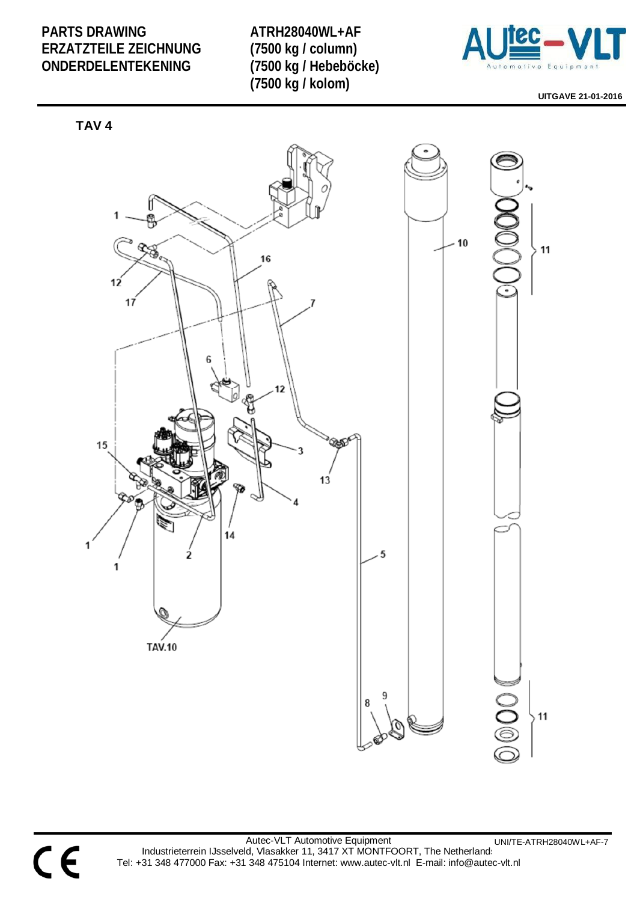**ATRH28040WL+AF (7500 kg / column) (7500 kg / Hebeböcke) (7500 kg / kolom)** 



**UITGAVE 21-01-2016** 



CE

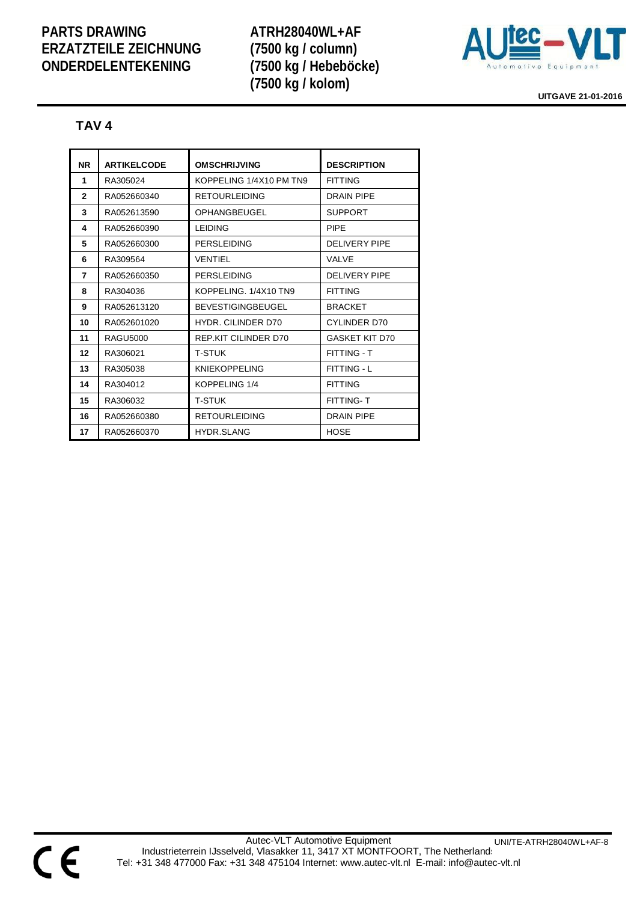**ATRH28040WL+AF (7500 kg / column) (7500 kg / Hebeböcke) (7500 kg / kolom)** 



**UITGAVE 21-01-2016** 

#### **TAV 4**

| <b>NR</b>    | <b>ARTIKELCODE</b> | <b>OMSCHRIJVING</b>       | <b>DESCRIPTION</b>    |
|--------------|--------------------|---------------------------|-----------------------|
| 1            | RA305024           | KOPPELING 1/4X10 PM TN9   | <b>FITTING</b>        |
| $\mathbf{2}$ | RA052660340        | <b>RETOURLEIDING</b>      | <b>DRAIN PIPF</b>     |
| 3            | RA052613590        | OPHANGBEUGEL              | <b>SUPPORT</b>        |
| 4            | RA052660390        | <b>LEIDING</b>            | <b>PIPF</b>           |
| 5            | RA052660300        | PERSI FIDING              | DELIVERY PIPE         |
| 6            | RA309564           | VENTIFI                   | VAI VF                |
| 7            | RA052660350        | PERSI FIDING              | DELIVERY PIPE         |
| 8            | RA304036           | KOPPELING, 1/4X10 TN9     | <b>FITTING</b>        |
| 9            | RA052613120        | <b>BEVESTIGINGBEUGEL</b>  | <b>BRACKET</b>        |
| 10           | RA052601020        | <b>HYDR. CILINDER D70</b> | CYLINDER D70          |
| 11           | <b>RAGU5000</b>    | REP KIT CILINDER D70      | <b>GASKET KIT D70</b> |
| 12           | RA306021           | T-STUK                    | <b>FITTING - T</b>    |
| 13           | RA305038           | <b>KNIEKOPPELING</b>      | <b>FITTING - L</b>    |
| 14           | RA304012           | KOPPELING 1/4             | <b>FITTING</b>        |
| 15           | RA306032           | T-STUK                    | <b>FITTING-T</b>      |
| 16           | RA052660380        | <b>RETOURLEIDING</b>      | <b>DRAIN PIPE</b>     |
| 17           | RA052660370        | <b>HYDR SLANG</b>         | <b>HOSE</b>           |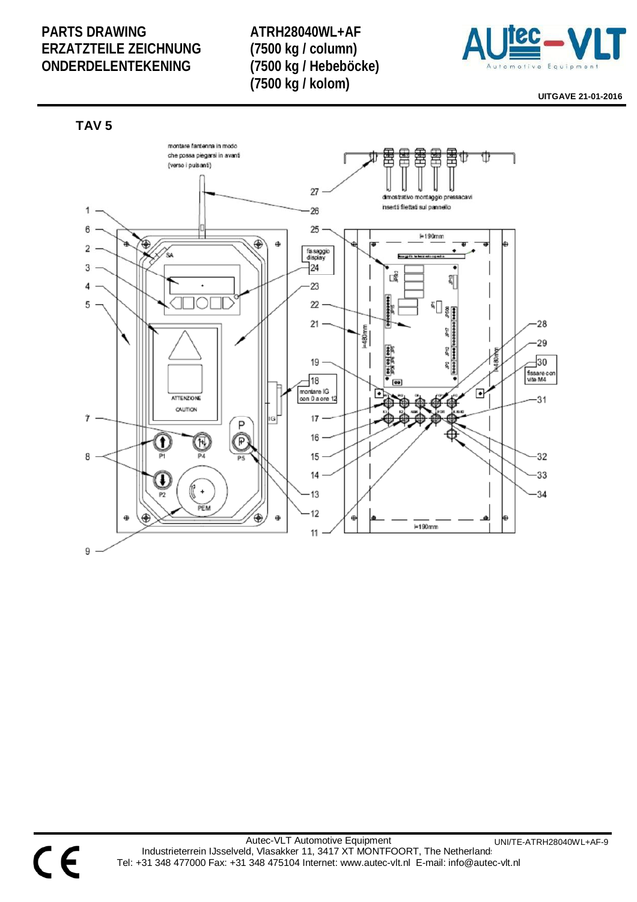**ATRH28040WL+AF (7500 kg / column) (7500 kg / Hebeböcke) (7500 kg / kolom)** 



**UITGAVE 21-01-2016** 



C E

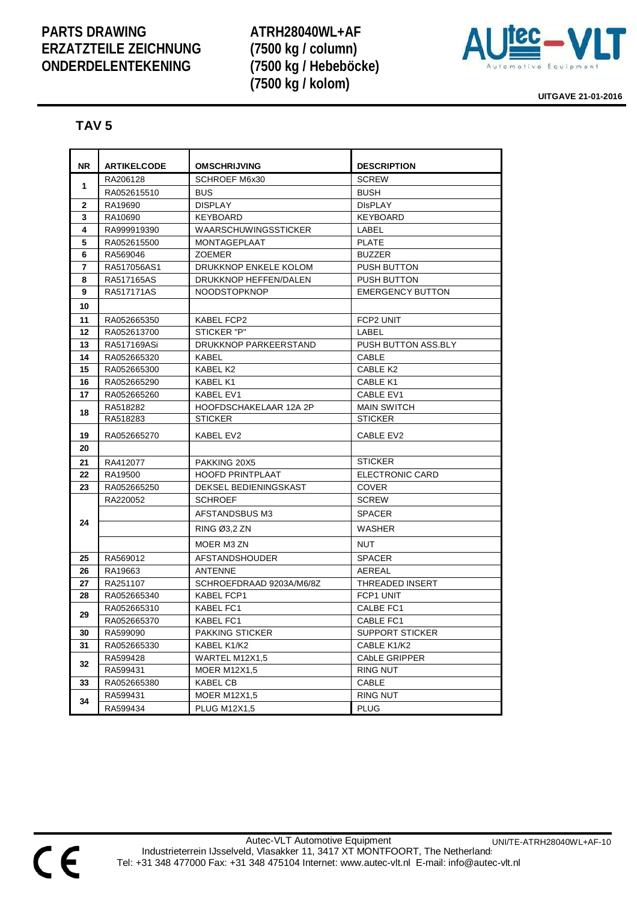**ATRH28040WL+AF (7500 kg / column) (7500 kg / Hebeböcke) (7500 kg / kolom)** 



**UITGAVE 21-01-2016** 

#### **TAV 5**

| <b>NR</b> | <b>ARTIKELCODE</b> | <b>OMSCHRIJVING</b>         | <b>DESCRIPTION</b>      |
|-----------|--------------------|-----------------------------|-------------------------|
|           | RA206128           | <b>SCHROEF M6x30</b>        | <b>SCREW</b>            |
| 1         | RA052615510        | <b>BUS</b>                  | <b>BUSH</b>             |
| 2         | RA19690            | <b>DISPLAY</b>              | <b>DISPLAY</b>          |
| 3         | RA10690            | <b>KEYBOARD</b>             | <b>KEYBOARD</b>         |
| 4         | RA999919390        | <b>WAARSCHUWINGSSTICKER</b> | LABEL                   |
| 5         | RA052615500        | <b>MONTAGEPLAAT</b>         | <b>PLATE</b>            |
| 6         | RA569046           | <b>ZOEMER</b>               | <b>BUZZER</b>           |
| 7         | RA517056AS1        | DRUKKNOP ENKELE KOLOM       | <b>PUSH BUTTON</b>      |
| 8         | RA517165AS         | DRUKKNOP HEFFEN/DALEN       | PUSH BUTTON             |
| 9         | RA517171AS         | <b>NOODSTOPKNOP</b>         | <b>EMERGENCY BUTTON</b> |
| 10        |                    |                             |                         |
| 11        | RA052665350        | <b>KABEL FCP2</b>           | FCP2 UNIT               |
| 12        | RA052613700        | STICKER "P"                 | LABEL                   |
| 13        | RA517169ASi        | DRUKKNOP PARKEERSTAND       | PUSH BUTTON ASS.BLY     |
| 14        | RA052665320        | KABEL                       | CABLE                   |
| 15        | RA052665300        | KABEL K2                    | CABLE K2                |
| 16        | RA052665290        | KABEL K1                    | CABLE K1                |
| 17        | RA052665260        | KABEL EV1                   | CABLE EV1               |
| 18        | RA518282           | HOOFDSCHAKELAAR 12A 2P      | <b>MAIN SWITCH</b>      |
|           | RA518283           | <b>STICKER</b>              | <b>STICKER</b>          |
| 19        | RA052665270        | KABEL EV2                   | CABLE EV2               |
| 20        |                    |                             |                         |
| 21        | RA412077           | PAKKING 20X5                | <b>STICKER</b>          |
| 22        | RA19500            | <b>HOOFD PRINTPLAAT</b>     | ELECTRONIC CARD         |
| 23        | RA052665250        | DEKSEL BEDIENINGSKAST       | COVER                   |
|           | RA220052           | <b>SCHROEF</b>              | <b>SCREW</b>            |
|           |                    | AFSTANDSBUS M3              | <b>SPACER</b>           |
| 24        |                    | RING Ø3,2 ZN                | <b>WASHER</b>           |
|           |                    | MOER M3 ZN                  | NUT                     |
| 25        | RA569012           | <b>AFSTANDSHOUDER</b>       | <b>SPACER</b>           |
| 26        | RA19663            | <b>ANTENNE</b>              | AEREAL                  |
| 27        | RA251107           | SCHROEFDRAAD 9203A/M6/8Z    | <b>THREADED INSERT</b>  |
| 28        | RA052665340        | KABEL FCP1                  | FCP1 UNIT               |
|           | RA052665310        | KABEL FC1                   | CALBE FC1               |
| 29        | RA052665370        | KABEL FC1                   | CABLE FC1               |
| 30        | RA599090           | PAKKING STICKER             | SUPPORT STICKER         |
| 31        | RA052665330        | KABEL K1/K2                 | CABLE K1/K2             |
|           | RA599428           | WARTEL M12X1,5              | <b>CAbLE GRIPPER</b>    |
| 32        | RA599431           | <b>MOER M12X1,5</b>         | RING NUT                |
| 33        | RA052665380        | KABEL CB                    | CABLE                   |
| 34        | RA599431           | <b>MOER M12X1,5</b>         | <b>RING NUT</b>         |
|           | RA599434           | <b>PLUG M12X1,5</b>         | <b>PLUG</b>             |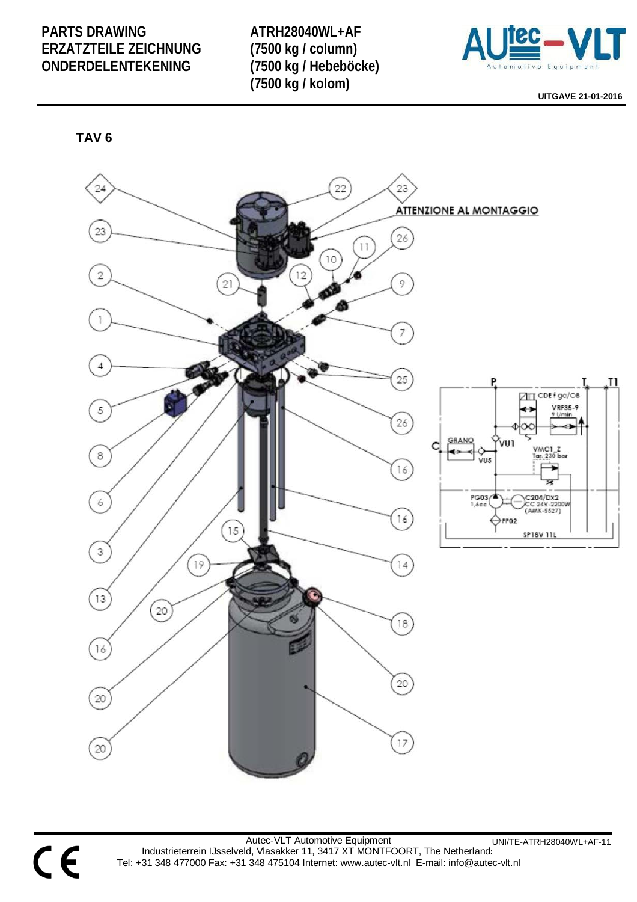**ATRH28040WL+AF (7500 kg / column) (7500 kg / Hebeböcke) (7500 kg / kolom)** 



**UITGAVE 21-01-2016** 

**TAV 6** 



Autec-VLT Automotive Equipment Industrieterrein IJsselveld, Vlasakker 11, 3417 XT MONTFOORT, The Netherlands Tel: +31 348 477000 Fax: +31 348 475104 Internet: www.autec-vlt.nl E-mail: info@autec-vlt.nl UNI/TE-ATRH28040WL+AF-11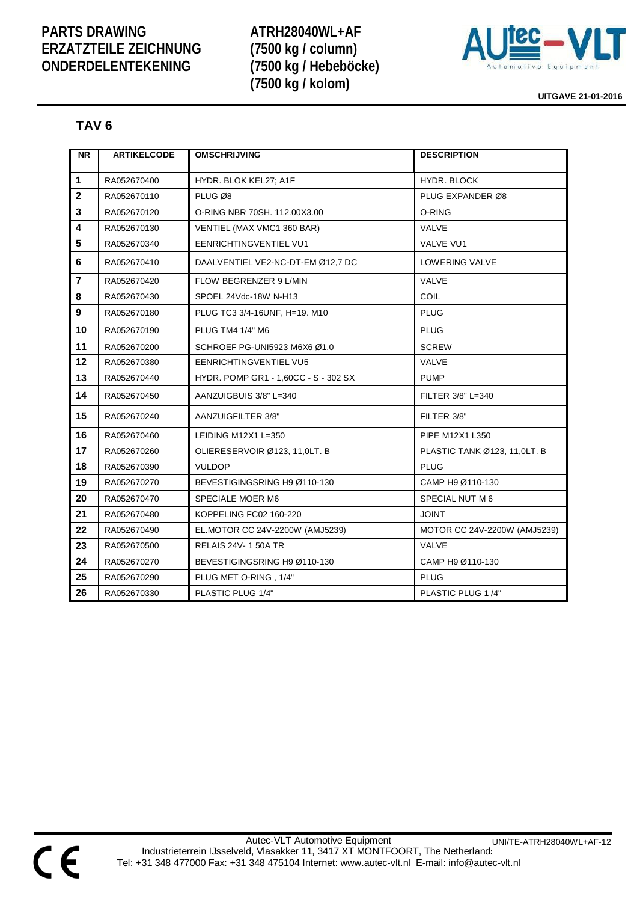**ATRH28040WL+AF (7500 kg / column) (7500 kg / Hebeböcke) (7500 kg / kolom)** 



**UITGAVE 21-01-2016** 

#### **TAV 6**

| <b>NR</b>               | <b>ARTIKELCODE</b> | <b>OMSCHRIJVING</b>                  | <b>DESCRIPTION</b>           |
|-------------------------|--------------------|--------------------------------------|------------------------------|
|                         |                    |                                      |                              |
| $\mathbf{1}$            | RA052670400        | HYDR. BLOK KEL27; A1F                | <b>HYDR. BLOCK</b>           |
| $\mathbf 2$             | RA052670110        | PLUG Ø8                              | PLUG EXPANDER Ø8             |
| 3                       | RA052670120        | O-RING NBR 70SH, 112,00X3,00         | O-RING                       |
| $\overline{\mathbf{4}}$ | RA052670130        | VENTIEL (MAX VMC1 360 BAR)           | <b>VALVE</b>                 |
| 5                       | RA052670340        | <b>EENRICHTINGVENTIEL VU1</b>        | VALVE VU1                    |
| 6                       | RA052670410        | DAALVENTIEL VE2-NC-DT-EM Ø12,7 DC    | <b>LOWERING VALVE</b>        |
| $\overline{\mathbf{r}}$ | RA052670420        | <b>FLOW BEGRENZER 9 L/MIN</b>        | <b>VALVE</b>                 |
| 8                       | RA052670430        | SPOEL 24Vdc-18W N-H13                | <b>COIL</b>                  |
| $\boldsymbol{9}$        | RA052670180        | PLUG TC3 3/4-16UNF, H=19. M10        | <b>PLUG</b>                  |
| 10                      | RA052670190        | PLUG TM4 1/4" M6                     | <b>PLUG</b>                  |
| 11                      | RA052670200        | SCHROEF PG-UNI5923 M6X6 Ø1.0         | <b>SCREW</b>                 |
| 12                      | RA052670380        | <b>EENRICHTINGVENTIEL VU5</b>        | <b>VALVE</b>                 |
| 13                      | RA052670440        | HYDR. POMP GR1 - 1,60CC - S - 302 SX | <b>PUMP</b>                  |
| 14                      | RA052670450        | AANZUIGBUIS 3/8" L=340               | FILTER 3/8" L=340            |
| 15                      | RA052670240        | AANZUIGFILTER 3/8"                   | FILTER 3/8"                  |
| 16                      | RA052670460        | LEIDING M12X1 L=350                  | PIPE M12X1 L350              |
| 17                      | RA052670260        | OLIERESERVOIR Ø123, 11,0LT. B        | PLASTIC TANK Ø123, 11,0LT. B |
| 18                      | RA052670390        | <b>VULDOP</b>                        | <b>PLUG</b>                  |
| 19                      | RA052670270        | BEVESTIGINGSRING H9 Ø110-130         | CAMP H9 Ø110-130             |
| 20                      | RA052670470        | SPECIALE MOER M6                     | SPECIAL NUT M 6              |
| 21                      | RA052670480        | KOPPELING FC02 160-220               | <b>JOINT</b>                 |
| 22                      | RA052670490        | EL.MOTOR CC 24V-2200W (AMJ5239)      | MOTOR CC 24V-2200W (AMJ5239) |
| 23                      | RA052670500        | <b>RELAIS 24V-150ATR</b>             | <b>VALVE</b>                 |
| 24                      | RA052670270        | BEVESTIGINGSRING H9 Ø110-130         | CAMP H9 Ø110-130             |
| 25                      | RA052670290        | PLUG MET O-RING, 1/4"                | <b>PLUG</b>                  |
| 26                      | RA052670330        | PLASTIC PLUG 1/4"                    | PLASTIC PLUG 1/4"            |